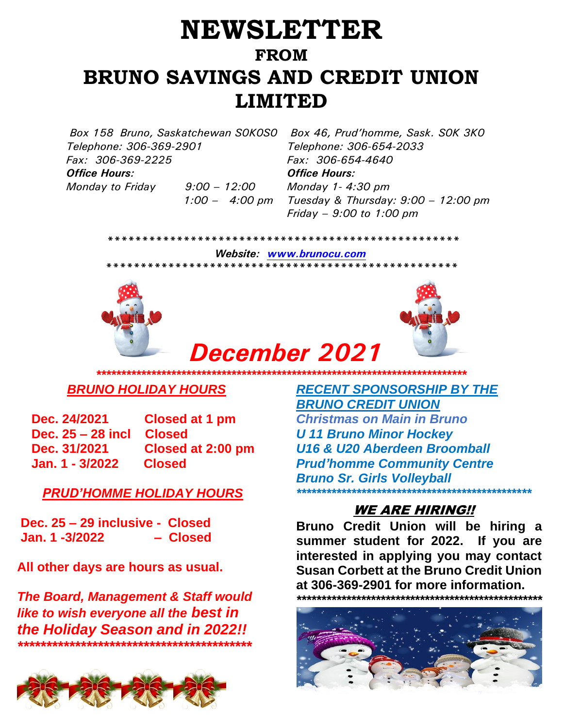# **NEWSLETTER FROM BRUNO SAVINGS AND CREDIT UNION LIMITED**

*Box 158 Bruno, Saskatchewan S0K0S0 Box 46, Prud'homme, Sask. S0K 3K0 Telephone: 306-369-2901 Fax: 306-369-2225* 

*Monday to Friday 9:00 – 12:00*

 *1:00 – 4:00 pm*

*Telephone: 306-654-2033 Fax: 306-654-4640 Office Hours: Office Hours: Monday 1- 4:30 pm Tuesday & Thursday: 9:00 – 12:00 pm Friday – 9:00 to 1:00 pm*

 *\*\*\*\*\*\*\*\*\*\*\*\*\*\*\*\*\*\*\*\*\*\*\*\*\*\*\*\*\*\*\*\*\*\*\*\*\*\*\*\*\*\*\*\*\*\*\*\*\*\*\**

*December 2021*

 *Website: [www.brunocu.com](http://www.brunocu.com/) \*\*\*\*\*\*\*\*\*\*\*\*\*\*\*\*\*\*\*\*\*\*\*\*\*\*\*\*\*\*\*\*\*\*\*\*\*\*\*\*\*\*\*\*\*\*\*\*\*\*\** 





#### *\*\*\*\*\*\*\*\*\*\*\*\*\*\*\*\*\*\*\*\*\*\*\*\*\*\*\*\*\*\*\*\*\*\*\*\*\*\*\*\*\*\*\*\*\*\*\*\*\*\*\*\*\*\*\*\*\*\*\*\*\*\*\*\*\*\*\*\*\*\*\*\*\*\* BRUNO HOLIDAY HOURS*

**Dec. 24/2021 Closed at 1 pm Dec. 25 – 28 incl Closed Dec. 31/2021 Closed at 2:00 pm Jan. 1 - 3/2022 Closed** 

#### *PRUD'HOMME HOLIDAY HOURS*

**Dec. 25 – 29 inclusive - Closed Jan. 1 -3/2022 – Closed**

**All other days are hours as usual.**

*The Board, Management & Staff would like to wish everyone all the best in the Holiday Season and in 2022!! \*\*\*\*\*\*\*\*\*\*\*\*\*\*\*\*\*\*\*\*\*\*\*\*\*\*\*\*\*\*\*\*\*\*\*\*\*\*\*\*\**



*RECENT SPONSORSHIP BY THE BRUNO CREDIT UNION Christmas on Main in Bruno U 11 Bruno Minor Hockey U16 & U20 Aberdeen Broomball Prud'homme Community Centre Bruno Sr. Girls Volleyball \*\*\*\*\*\*\*\*\*\*\*\*\*\*\*\*\*\*\*\*\*\*\*\*\*\*\*\*\*\*\*\*\*\*\*\*\*\*\*\*\*\*\*\*\*\*\**

### WE ARE HIRING!!

**Bruno Credit Union will be hiring a summer student for 2022. If you are interested in applying you may contact Susan Corbett at the Bruno Credit Union at 306-369-2901 for more information.**  *\*\*\*\*\*\*\*\*\*\*\*\*\*\*\*\*\*\*\*\*\*\*\*\*\*\*\*\*\*\*\*\*\*\*\*\*\*\*\*\*\*\*\*\*\*\*\*\*\*\**